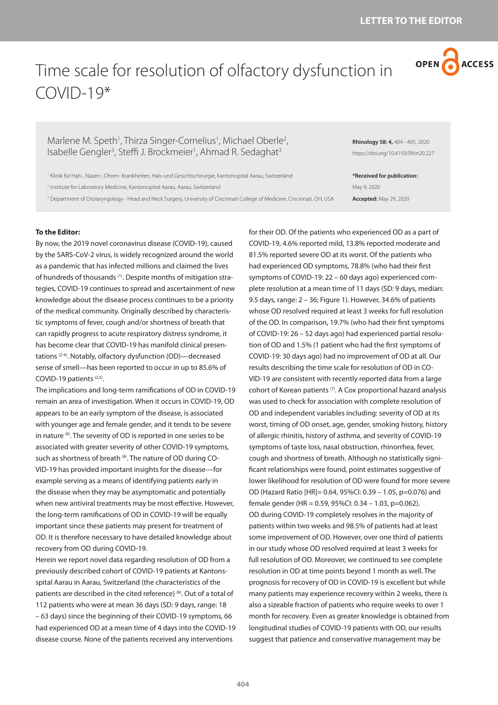**404**

Time scale for resolution of olfactory dysfunction in

Marlene M. Speth<sup>1</sup>, Thirza Singer-Cornelius<sup>1</sup>, Michael Oberle<sup>2</sup>, Isabelle Gengler<sup>3</sup>, Steffi J. Brockmeier<sup>1</sup>, Ahmad R. Sedaghat<sup>3</sup>

1 Klinik für Hals-, Nasen-, Ohren- Krankheiten, Hals-und Gesichtschirurgie, Kantonsspital Aarau, Switzerland

2 Institute for Laboratory Medicine, Kantonsspital Aarau, Aarau, Switzerland

3 Department of Otolaryngology - Head and Neck Surgery, University of Cincinnati College of Medicine, Cincinnati, OH, USA

**To the Editor:** 

COVID-19\*

By now, the 2019 novel coronavirus disease (COVID-19), caused by the SARS-CoV-2 virus, is widely recognized around the world as a pandemic that has infected millions and claimed the lives of hundreds of thousands (1). Despite months of mitigation strategies, COVID-19 continues to spread and ascertainment of new knowledge about the disease process continues to be a priority of the medical community. Originally described by characteristic symptoms of fever, cough and/or shortness of breath that can rapidly progress to acute respiratory distress syndrome, it has become clear that COVID-19 has manifold clinical presentations (2-4). Notably, olfactory dysfunction (OD)—decreased sense of smell—has been reported to occur in up to 85.6% of COVID-19 patients (2,5).

The implications and long-term ramifications of OD in COVID-19 remain an area of investigation. When it occurs in COVID-19, OD appears to be an early symptom of the disease, is associated with younger age and female gender, and it tends to be severe in nature (6). The severity of OD is reported in one series to be associated with greater severity of other COVID-19 symptoms, such as shortness of breath (6). The nature of OD during CO-VID-19 has provided important insights for the disease—for example serving as a means of identifying patients early in the disease when they may be asymptomatic and potentially when new antiviral treatments may be most effective. However, the long-term ramifications of OD in COVID-19 will be equally important since these patients may present for treatment of OD. It is therefore necessary to have detailed knowledge about recovery from OD during COVID-19.

Herein we report novel data regarding resolution of OD from a previously described cohort of COVID-19 patients at Kantonsspital Aarau in Aarau, Switzerland (the characteristics of the patients are described in the cited reference) (6). Out of a total of 112 patients who were at mean 36 days (SD: 9 days, range: 18 – 63 days) since the beginning of their COVID-19 symptoms, 66 had experienced OD at a mean time of 4 days into the COVID-19 disease course. None of the patients received any interventions

for their OD. Of the patients who experienced OD as a part of COVID-19, 4.6% reported mild, 13.8% reported moderate and 81.5% reported severe OD at its worst. Of the patients who had experienced OD symptoms, 78.8% (who had their first symptoms of COVID-19: 22 – 60 days ago) experienced complete resolution at a mean time of 11 days (SD: 9 days, median: 9.5 days, range: 2 – 36; Figure 1). However, 34.6% of patients whose OD resolved required at least 3 weeks for full resolution of the OD. In comparison, 19.7% (who had their first symptoms of COVID-19: 26 – 52 days ago) had experienced partial resolution of OD and 1.5% (1 patient who had the first symptoms of COVID-19: 30 days ago) had no improvement of OD at all. Our results describing the time scale for resolution of OD in CO-VID-19 are consistent with recently reported data from a large cohort of Korean patients (7). A Cox proportional hazard analysis was used to check for association with complete resolution of OD and independent variables including: severity of OD at its worst, timing of OD onset, age, gender, smoking history, history of allergic rhinitis, history of asthma, and severity of COVID-19 symptoms of taste loss, nasal obstruction, rhinorrhea, fever, cough and shortness of breath. Although no statistically significant relationships were found, point estimates suggestive of lower likelihood for resolution of OD were found for more severe OD (Hazard Ratio [HR]= 0.64, 95%CI: 0.39 – 1.05, p=0.076) and female gender (HR = 0.59, 95%CI: 0.34 – 1.03, p=0.062). OD during COVID-19 completely resolves in the majority of patients within two weeks and 98.5% of patients had at least some improvement of OD. However, over one third of patients in our study whose OD resolved required at least 3 weeks for full resolution of OD. Moreover, we continued to see complete resolution in OD at time points beyond 1 month as well. The prognosis for recovery of OD in COVID-19 is excellent but while many patients may experience recovery within 2 weeks, there is also a sizeable fraction of patients who require weeks to over 1 month for recovery. Even as greater knowledge is obtained from longitudinal studies of COVID-19 patients with OD, our results

suggest that patience and conservative management may be

**Rhinology 58: 4,** 404 - 405, 2020 https://doi.org/10.4193/Rhin20.227

**\*Received for publication:** May 9, 2020 **Accepted:** May 29, 2020